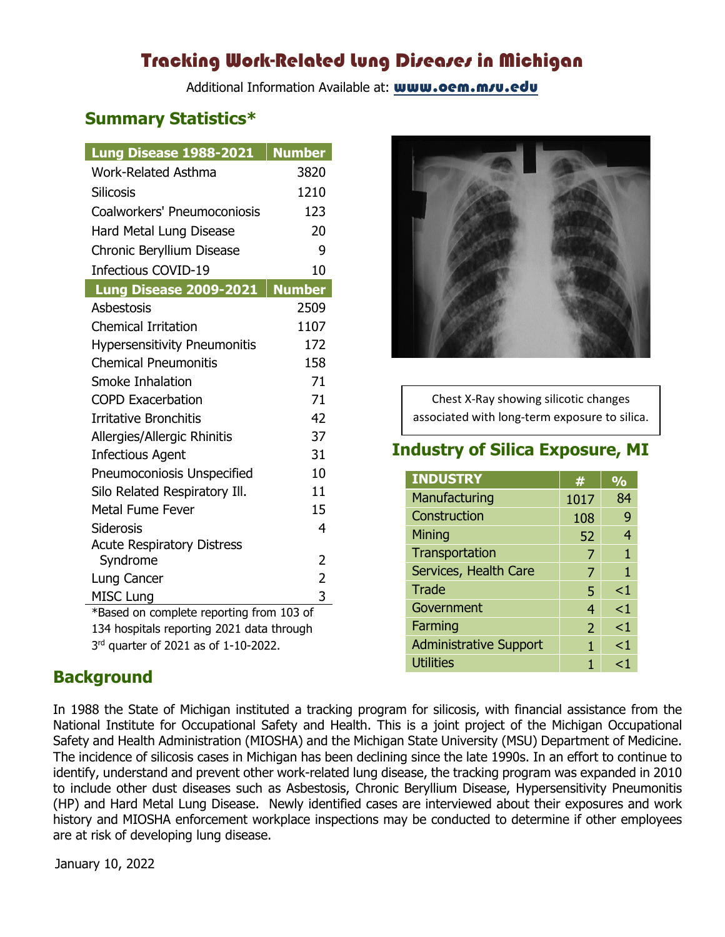# Tracking Work-Related lung Diseases in Michigan

Additional Information Available at: www.oem.m/u.edu

## **Summary Statistics\***

| Lung Disease 1988-2021                                                                | <b>Number</b>  |  |
|---------------------------------------------------------------------------------------|----------------|--|
| <b>Work-Related Asthma</b>                                                            | 3820           |  |
| <b>Silicosis</b>                                                                      | 1210           |  |
| Coalworkers' Pneumoconiosis                                                           | 123            |  |
| Hard Metal Lung Disease                                                               | 20             |  |
| Chronic Beryllium Disease                                                             | 9              |  |
| <b>Infectious COVID-19</b>                                                            | 10             |  |
| Lung Disease 2009-2021                                                                | <b>Number</b>  |  |
| Asbestosis                                                                            | 2509           |  |
| <b>Chemical Irritation</b>                                                            | 1107           |  |
| <b>Hypersensitivity Pneumonitis</b>                                                   | 172            |  |
| <b>Chemical Pneumonitis</b>                                                           | 158            |  |
| Smoke Inhalation                                                                      | 71             |  |
| <b>COPD Exacerbation</b>                                                              | 71             |  |
| <b>Irritative Bronchitis</b>                                                          | 42             |  |
| Allergies/Allergic Rhinitis                                                           | 37             |  |
| <b>Infectious Agent</b>                                                               | 31             |  |
| Pneumoconiosis Unspecified                                                            | 10             |  |
| Silo Related Respiratory Ill.                                                         | 11             |  |
| <b>Metal Fume Fever</b>                                                               | 15             |  |
| <b>Siderosis</b>                                                                      | 4              |  |
| <b>Acute Respiratory Distress</b>                                                     |                |  |
| Syndrome                                                                              | 2              |  |
| Lung Cancer                                                                           | $\overline{2}$ |  |
| <b>MISC Lung</b>                                                                      | 3              |  |
| *Based on complete reporting from 103 of<br>134 hospitals reporting 2021 data through |                |  |
| 3rd quarter of 2021 as of 1-10-2022.                                                  |                |  |

Chest X-Ray showing silicotic changes associated with long-term exposure to silica.

# **Industry of Silica Exposure, MI**

| <b>INDUSTRY</b>               | 4    | $\overline{\mathrm{o}}$ |
|-------------------------------|------|-------------------------|
| Manufacturing                 | 1017 | 84                      |
| Construction                  | 108  | 9                       |
| Mining                        | 52   | 4                       |
| Transportation                | 7    | 1                       |
| Services, Health Care         | 7    | 1                       |
| Trade                         | 5    | $<$ 1                   |
| Government                    | 4    | $\leq$ 1                |
| Farming                       | 2    | $\leq$ 1                |
| <b>Administrative Support</b> | 1    | $\leq$ 1                |
| <b>Utilities</b>              |      | ا >                     |

# **Background**

In 1988 the State of Michigan instituted a tracking program for silicosis, with financial assistance from the National Institute for Occupational Safety and Health. This is a joint project of the Michigan Occupational Safety and Health Administration (MIOSHA) and the Michigan State University (MSU) Department of Medicine. The incidence of silicosis cases in Michigan has been declining since the late 1990s. In an effort to continue to identify, understand and prevent other work-related lung disease, the tracking program was expanded in 2010 to include other dust diseases such as Asbestosis, Chronic Beryllium Disease, Hypersensitivity Pneumonitis (HP) and Hard Metal Lung Disease. Newly identified cases are interviewed about their exposures and work history and MIOSHA enforcement workplace inspections may be conducted to determine if other employees are at risk of developing lung disease.

January 10, 2022